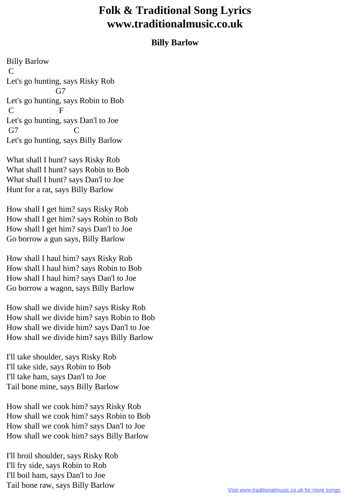## **Folk & Traditional Song Lyrics www.traditionalmusic.co.uk**

## **Billy Barlow**

Billy Barlow C Let's go hunting, says Risky Rob G7 Let's go hunting, says Robin to Bob C F Let's go hunting, says Dan'l to Joe G7 C Let's go hunting, says Billy Barlow

What shall I hunt? says Risky Rob What shall I hunt? says Robin to Bob What shall I hunt? says Dan'l to Joe Hunt for a rat, says Billy Barlow

How shall I get him? says Risky Rob How shall I get him? says Robin to Bob How shall I get him? says Dan'l to Joe Go borrow a gun says, Billy Barlow

How shall I haul him? says Risky Rob How shall I haul him? says Robin to Bob How shall I haul him? says Dan'l to Joe Go borrow a wagon, says Billy Barlow

How shall we divide him? says Risky Rob How shall we divide him? says Robin to Bob How shall we divide him? says Dan'l to Joe How shall we divide him? says Billy Barlow

I'll take shoulder, says Risky Rob I'll take side, says Robin to Bob I'll take ham, says Dan'l to Joe Tail bone mine, says Billy Barlow

How shall we cook him? says Risky Rob How shall we cook him? says Robin to Bob How shall we cook him? says Dan'l to Joe How shall we cook him? says Billy Barlow

I'll broil shoulder, says Risky Rob I'll fry side, says Robin to Rob I'll boil ham, says Dan'l to Joe Tail bone raw, says Billy Barlow